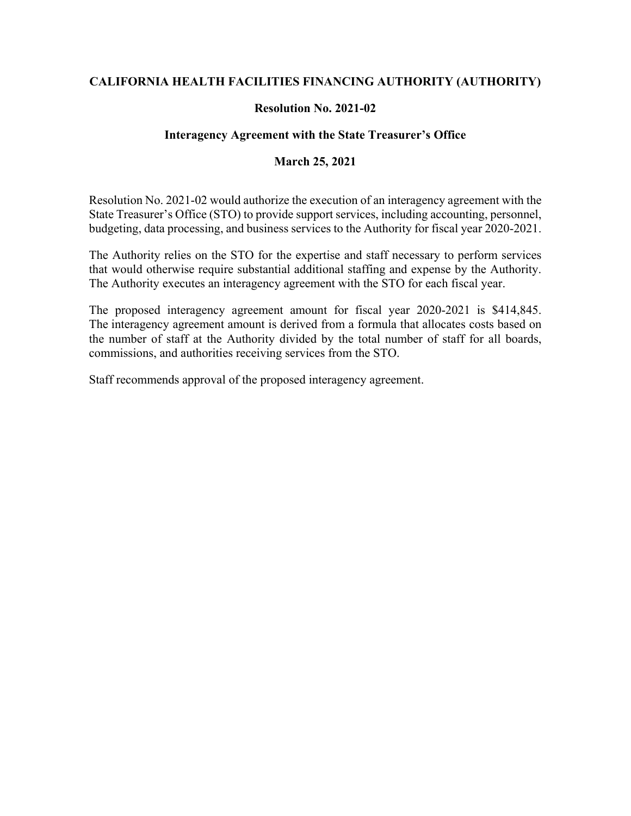## **CALIFORNIA HEALTH FACILITIES FINANCING AUTHORITY (AUTHORITY)**

## **Resolution No. 2021-02**

## **Interagency Agreement with the State Treasurer's Office**

### **March 25, 2021**

Resolution No. 2021-02 would authorize the execution of an interagency agreement with the State Treasurer's Office (STO) to provide support services, including accounting, personnel, budgeting, data processing, and business services to the Authority for fiscal year 2020-2021.

The Authority relies on the STO for the expertise and staff necessary to perform services that would otherwise require substantial additional staffing and expense by the Authority. The Authority executes an interagency agreement with the STO for each fiscal year.

The proposed interagency agreement amount for fiscal year 2020-2021 is \$414,845. The interagency agreement amount is derived from a formula that allocates costs based on the number of staff at the Authority divided by the total number of staff for all boards, commissions, and authorities receiving services from the STO.

Staff recommends approval of the proposed interagency agreement.